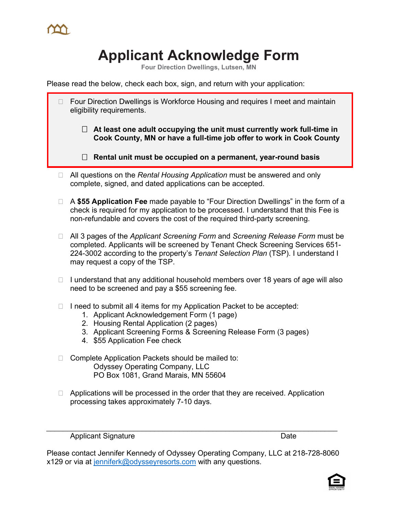## **Applicant Acknowledge Form**

**Four Direction Dwellings, Lutsen, MN**

Please read the below, check each box, sign, and return with your application:

- Four Direction Dwellings is Workforce Housing and requires I meet and maintain eligibility requirements.
	- **At least one adult occupying the unit must currently work full-time in Cook County, MN or have a full-time job offer to work in Cook County**
	- **Rental unit must be occupied on a permanent, year-round basis**
- □ All questions on the *Rental Housing Application* must be answered and only complete, signed, and dated applications can be accepted.
- A **\$55 Application Fee** made payable to "Four Direction Dwellings" in the form of a check is required for my application to be processed. I understand that this Fee is non-refundable and covers the cost of the required third-party screening.
- All 3 pages of the *Applicant Screening Form* and *Screening Release Form* must be completed. Applicants will be screened by Tenant Check Screening Services 651- 224-3002 according to the property's *Tenant Selection Plan* (TSP). I understand I may request a copy of the TSP.
- $\Box$  I understand that any additional household members over 18 years of age will also need to be screened and pay a \$55 screening fee.
- $\Box$  I need to submit all 4 items for my Application Packet to be accepted:
	- 1. Applicant Acknowledgement Form (1 page)
	- 2. Housing Rental Application (2 pages)
	- 3. Applicant Screening Forms & Screening Release Form (3 pages)
	- 4. \$55 Application Fee check
- □ Complete Application Packets should be mailed to: Odyssey Operating Company, LLC PO Box 1081, Grand Marais, MN 55604
- $\Box$  Applications will be processed in the order that they are received. Application processing takes approximately 7-10 days.

*\_\_\_\_\_\_\_\_\_\_\_\_\_\_\_\_\_\_\_\_\_\_\_\_\_\_\_\_\_\_\_\_\_\_\_\_\_\_\_\_\_\_\_\_\_\_\_\_\_\_\_\_\_\_\_\_\_\_\_\_\_\_\_\_\_\_\_\_\_\_*

Applicant Signature Date

Please contact Jennifer Kennedy of Odyssey Operating Company, LLC at 218-728-8060 x129 or via at jenniferk@odysseyresorts.com with any questions.

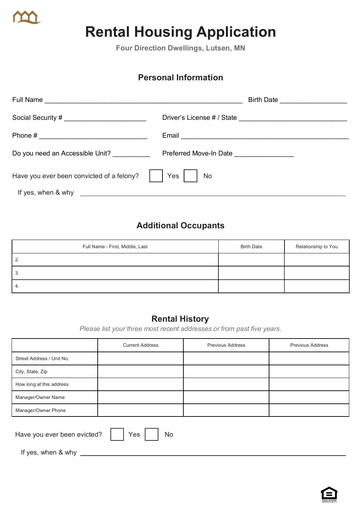

# **Rental Housing Application**

**Four Direction Dwellings, Lutsen, MN**

### **Personal Information**

|                                                                                           | Birth Date <u>__________________</u> |
|-------------------------------------------------------------------------------------------|--------------------------------------|
|                                                                                           |                                      |
|                                                                                           |                                      |
| Do you need an Accessible Unit?                                                           | Preferred Move-In Date               |
| Have you ever been convicted of a felony?                                                 | Yes<br><b>No</b>                     |
| If yes, when & why<br><u> 1980 - Andrea Station Barbara, amerikan personal (h. 1980).</u> |                                      |

## **Additional Occupants**

| Full Name - First, Middle, Last | <b>Birth Date</b> | Relationship to You |
|---------------------------------|-------------------|---------------------|
| 2.                              |                   |                     |
| 3.                              |                   |                     |
| 4.                              |                   |                     |

#### **Rental History**

*Please list your three most recent addresses or from past five years.*

|                                          | <b>Current Address</b> | Previous Address | <b>Previous Address</b> |  |  |
|------------------------------------------|------------------------|------------------|-------------------------|--|--|
| Street Address / Unit No.                |                        |                  |                         |  |  |
| City, State, Zip                         |                        |                  |                         |  |  |
| How long at this address                 |                        |                  |                         |  |  |
| Manager/Owner Name                       |                        |                  |                         |  |  |
| Manager/Owner Phone                      |                        |                  |                         |  |  |
| Have you ever been evicted?<br>Yes<br>No |                        |                  |                         |  |  |

If yes, when & why

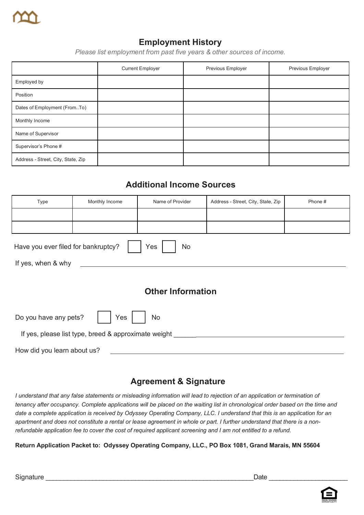

## **Employment History**

*Please list employment from past five years & other sources of income.*

|                                    | <b>Current Employer</b> | Previous Employer | Previous Employer |
|------------------------------------|-------------------------|-------------------|-------------------|
| Employed by                        |                         |                   |                   |
| Position                           |                         |                   |                   |
| Dates of Employment (FromTo)       |                         |                   |                   |
| Monthly Income                     |                         |                   |                   |
| Name of Supervisor                 |                         |                   |                   |
| Supervisor's Phone #               |                         |                   |                   |
| Address - Street, City, State, Zip |                         |                   |                   |

#### **Additional Income Sources**

| Type                                                 | Monthly Income | Name of Provider | Address - Street, City, State, Zip | Phone # |  |  |
|------------------------------------------------------|----------------|------------------|------------------------------------|---------|--|--|
|                                                      |                |                  |                                    |         |  |  |
|                                                      |                |                  |                                    |         |  |  |
| Yes<br>Have you ever filed for bankruptcy?<br>No     |                |                  |                                    |         |  |  |
| If yes, when & why                                   |                |                  |                                    |         |  |  |
|                                                      |                |                  |                                    |         |  |  |
| <b>Other Information</b>                             |                |                  |                                    |         |  |  |
| Do you have any pets?<br>Yes<br>No                   |                |                  |                                    |         |  |  |
| If yes, please list type, breed & approximate weight |                |                  |                                    |         |  |  |
| How did you learn about us?                          |                |                  |                                    |         |  |  |

#### **Agreement & Signature**

*I understand that any false statements or misleading information will lead to rejection of an application or termination of tenancy after occupancy. Complete applications will be placed on the waiting list in chronological order based on the time and date a complete application is received by Odyssey Operating Company, LLC. I understand that this is an application for an apartment and does not constitute a rental or lease agreement in whole or part. I further understand that there is a nonrefundable application fee to cover the cost of required applicant screening and I am not entitled to a refund.*

**Return Application Packet to: Odyssey Operating Company, LLC., PO Box 1081, Grand Marais, MN 55604**

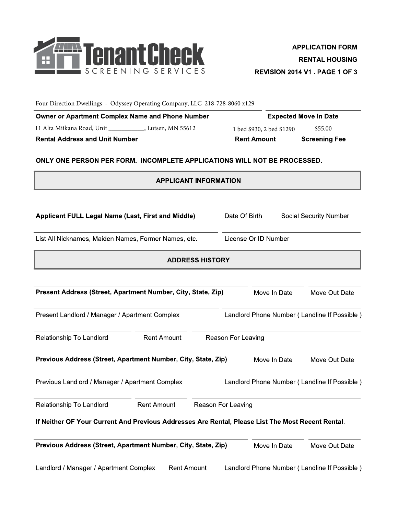

Four Direction Dwellings - Odyssey Operating Company, LLC 218-728-8060 x129

| <b>Owner or Apartment Complex Name and Phone Number</b> | <b>Expected Move In Date</b> |                      |  |  |
|---------------------------------------------------------|------------------------------|----------------------|--|--|
| 11 Alta Miikana Road, Unit<br>, Lutsen, MN 55612        | 1 bed \$930, 2 bed \$1290    | \$55.00              |  |  |
| <b>Rental Address and Unit Number</b>                   | <b>Rent Amount</b>           | <b>Screening Fee</b> |  |  |

#### ONLY ONE PERSON PER FORM. INCOMPLETE APPLICATIONS WILL NOT BE PROCESSED.

|                                                                                                   | <b>APPLICANT INFORMATION</b> |                    |                      |                                              |
|---------------------------------------------------------------------------------------------------|------------------------------|--------------------|----------------------|----------------------------------------------|
| Applicant FULL Legal Name (Last, First and Middle)                                                |                              |                    | Date Of Birth        | <b>Social Security Number</b>                |
|                                                                                                   |                              |                    |                      |                                              |
| List All Nicknames, Maiden Names, Former Names, etc.                                              |                              |                    | License Or ID Number |                                              |
|                                                                                                   | <b>ADDRESS HISTORY</b>       |                    |                      |                                              |
| Present Address (Street, Apartment Number, City, State, Zip)                                      |                              |                    | Move In Date         | Move Out Date                                |
| Present Landlord / Manager / Apartment Complex                                                    |                              |                    |                      | Landlord Phone Number (Landline If Possible) |
| Relationship To Landlord                                                                          | <b>Rent Amount</b>           | Reason For Leaving |                      |                                              |
| Previous Address (Street, Apartment Number, City, State, Zip)                                     |                              |                    | Move In Date         | Move Out Date                                |
| Previous Landlord / Manager / Apartment Complex                                                   |                              |                    |                      | Landlord Phone Number (Landline If Possible) |
| Relationship To Landlord                                                                          | <b>Rent Amount</b>           | Reason For Leaving |                      |                                              |
| If Neither OF Your Current And Previous Addresses Are Rental, Please List The Most Recent Rental. |                              |                    |                      |                                              |
| Previous Address (Street, Apartment Number, City, State, Zip)                                     |                              |                    | Move In Date         | Move Out Date                                |
| Landlord / Manager / Apartment Complex                                                            | <b>Rent Amount</b>           |                    |                      | Landlord Phone Number (Landline If Possible) |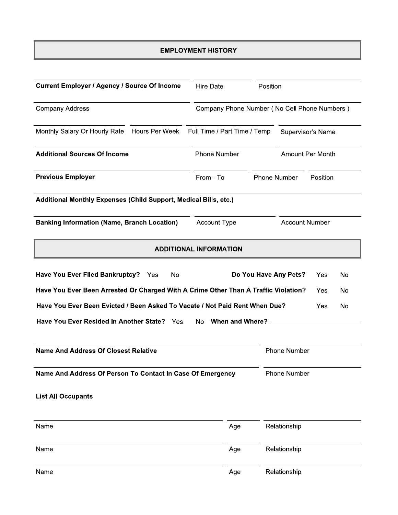#### **EMPLOYMENT HISTORY**

| <b>Current Employer / Agency / Source Of Income</b>                                 | <b>Hire Date</b>                             | Position                |          |     |  |
|-------------------------------------------------------------------------------------|----------------------------------------------|-------------------------|----------|-----|--|
| <b>Company Address</b>                                                              | Company Phone Number (No Cell Phone Numbers) |                         |          |     |  |
| Monthly Salary Or Hourly Rate<br>Hours Per Week                                     | Full Time / Part Time / Temp                 | Supervisor's Name       |          |     |  |
| <b>Additional Sources Of Income</b>                                                 | <b>Phone Number</b>                          | <b>Amount Per Month</b> |          |     |  |
| <b>Previous Employer</b>                                                            | From - To                                    | Phone Number            | Position |     |  |
| Additional Monthly Expenses (Child Support, Medical Bills, etc.)                    |                                              |                         |          |     |  |
| <b>Banking Information (Name, Branch Location)</b>                                  | <b>Account Type</b>                          | <b>Account Number</b>   |          |     |  |
|                                                                                     | <b>ADDITIONAL INFORMATION</b>                |                         |          |     |  |
| Have You Ever Filed Bankruptcy? Yes<br>No                                           |                                              | Do You Have Any Pets?   | Yes      | No  |  |
| Have You Ever Been Arrested Or Charged With A Crime Other Than A Traffic Violation? |                                              |                         | Yes      | No  |  |
| Have You Ever Been Evicted / Been Asked To Vacate / Not Paid Rent When Due?         |                                              |                         | Yes      | No. |  |
| Have You Ever Resided In Another State? Yes<br>No When and Where?                   |                                              |                         |          |     |  |
| <b>Name And Address Of Closest Relative</b>                                         |                                              | <b>Phone Number</b>     |          |     |  |
| Name And Address Of Person To Contact In Case Of Emergency                          |                                              | Phone Number            |          |     |  |
| <b>List All Occupants</b>                                                           |                                              |                         |          |     |  |
| Name                                                                                | Age                                          | Relationship            |          |     |  |
| Name                                                                                | Age                                          | Relationship            |          |     |  |
| Name                                                                                | Age                                          | Relationship            |          |     |  |